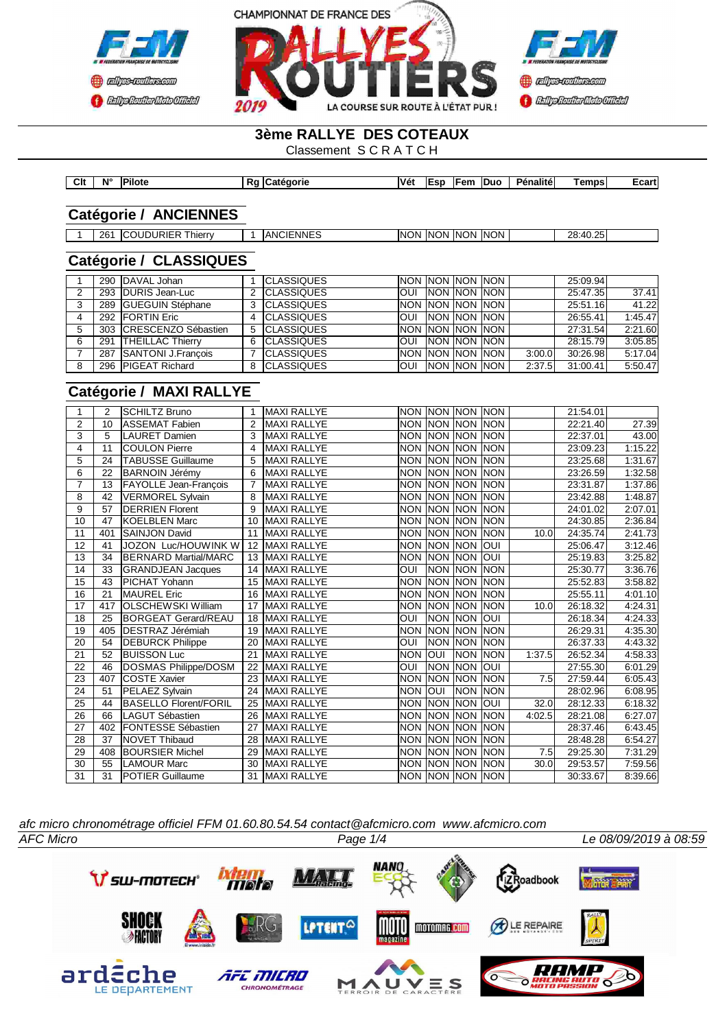



# **3ème RALLYE DES COTEAUX**

Classement S C R A T C H

| Clt | N <sub>c</sub> | <b>Pilote</b> | norie | Véi<br>___ | lEsn | Fem<br>$\sim$ $\sim$ | <b>IDuc</b> | <b>Pénalité</b><br>____ | <b>Temps</b> | ∠cart' |
|-----|----------------|---------------|-------|------------|------|----------------------|-------------|-------------------------|--------------|--------|

## **Catégorie / ANCIENNES**

1 261 COUDURIER Thierry 1 ANCIENNES NON NON NON NON NON 1 28:40.25

# **Catégorie / CLASSIQUES**

|   |     | 290 DAVAL Johan           |   | <b>ICLASSIQUES</b> |            |                            | <b>INON INON INON INON I</b> |        | 25:09.94 |         |
|---|-----|---------------------------|---|--------------------|------------|----------------------------|------------------------------|--------|----------|---------|
| 2 |     | 293 DURIS Jean-Luc        |   | <b>ICLASSIQUES</b> |            |                            | OUI NON NON NON              |        | 25:47.35 | 37.41   |
| 3 |     | 289 GUEGUIN Stéphane      |   | <b>ICLASSIQUES</b> |            | <b>INON INON INON INON</b> |                              |        | 25:51.16 | 41.22   |
| 4 |     | 292 FORTIN Eric           |   | <b>CLASSIQUES</b>  |            |                            | <b>OUI INON INON INON</b>    |        | 26:55.41 | 1:45.47 |
|   |     | 303 CRESCENZO Sébastien   |   | <b>ICLASSIQUES</b> |            | INON INON INON INON        |                              |        | 27:31.54 | 2:21.60 |
| 6 | 291 | <b>THEILLAC Thierry</b>   | 6 | <b>ICLASSIQUES</b> |            | <b>JOUI INON MON INON</b>  |                              |        | 28:15.79 | 3:05.85 |
|   | 287 | <b>SANTONI J.Francois</b> |   | <b>CLASSIQUES</b>  |            | INON INON INON INON        |                              | 3:00.0 | 30:26.98 | 5:17.04 |
| 8 |     | 296 PIGEAT Richard        |   | <b>ICLASSIQUES</b> | <b>OUI</b> | <b>INON INON INON</b>      |                              | 2:37.5 | 31:00.41 | 5:50.47 |

# **Catégorie / MAXI RALLYE**

|    | $\overline{2}$ | <b>SCHILTZ Bruno</b>         |    | <b>MAXI RALLYE</b> | <b>NON</b>              | <b>INON</b>        | <b>NON</b> | <b>INON</b> |        | 21:54.01 |         |
|----|----------------|------------------------------|----|--------------------|-------------------------|--------------------|------------|-------------|--------|----------|---------|
| 2  | 10             | <b>ASSEMAT Fabien</b>        | 2  | <b>MAXI RALLYE</b> | <b>NON</b>              | <b>INON</b>        | <b>NON</b> | <b>INON</b> |        | 22:21.40 | 27.39   |
| 3  | 5              | <b>LAURET Damien</b>         | 3  | <b>MAXI RALLYE</b> | <b>NON</b>              | <b>INON</b>        | <b>NON</b> | <b>INON</b> |        | 22:37.01 | 43.00   |
| 4  | 11             | <b>COULON Pierre</b>         | 4  | <b>MAXI RALLYE</b> | <b>NON</b>              | <b>INON INON</b>   |            | <b>INON</b> |        | 23:09.23 | 1:15.22 |
| 5  | 24             | <b>TABUSSE Guillaume</b>     | 5  | <b>MAXI RALLYE</b> | <b>NON</b>              | <b>NON</b>         | <b>NON</b> | <b>NON</b>  |        | 23:25.68 | 1:31.67 |
| 6  | 22             | <b>BARNOIN Jérémy</b>        | 6  | <b>MAXI RALLYE</b> | <b>NON</b>              | <b>NON</b>         | <b>NON</b> | <b>INON</b> |        | 23:26.59 | 1:32.58 |
| 7  | 13             | <b>FAYOLLE Jean-Francois</b> |    | <b>MAXI RALLYE</b> | <b>NON</b>              | <b>INON</b>        | <b>NON</b> | <b>INON</b> |        | 23:31.87 | 1:37.86 |
| 8  | 42             | <b>VERMOREL Sylvain</b>      | 8  | <b>MAXI RALLYE</b> | <b>NON</b>              | <b>NON</b>         | <b>NON</b> | <b>NON</b>  |        | 23:42.88 | 1:48.87 |
| 9  | 57             | <b>DERRIEN Florent</b>       | 9  | <b>MAXI RALLYE</b> | <b>NON</b>              | NON                | <b>NON</b> | Inon        |        | 24:01.02 | 2:07.01 |
| 10 | 47             | <b>KOELBLEN Marc</b>         | 10 | <b>MAXI RALLYE</b> | <b>NON</b>              | <b>INON</b>        | <b>NON</b> | Inon        |        | 24:30.85 | 2:36.84 |
| 11 | 401            | <b>SAINJON David</b>         | 11 | <b>MAXI RALLYE</b> | <b>NON</b>              | <b>NON</b>         | <b>NON</b> | Inon        | 10.0   | 24:35.74 | 2:41.73 |
| 12 | 41             | JOZON Luc/HOUWINK W          | 12 | <b>MAXI RALLYE</b> | <b>NON</b>              | <b>NON</b>         | <b>NON</b> | loui        |        | 25:06.47 | 3:12.46 |
| 13 | 34             | BERNARD Martial/MARC         | 13 | <b>MAXI RALLYE</b> | <b>NON</b>              | <b>INON</b>        | <b>NON</b> | loui        |        | 25:19.83 | 3:25.82 |
| 14 | 33             | <b>GRANDJEAN Jacques</b>     | 14 | <b>MAXI RALLYE</b> | $\overline{\text{OUI}}$ | Inon Inon          |            | <b>NON</b>  |        | 25:30.77 | 3:36.76 |
| 15 | 43             | PICHAT Yohann                | 15 | <b>MAXI RALLYE</b> | <b>NON</b>              | <b>NON</b>         | <b>NON</b> | <b>NON</b>  |        | 25:52.83 | 3:58.82 |
| 16 | 21             | <b>MAUREL Eric</b>           | 16 | <b>MAXI RALLYE</b> | <b>NON</b>              | <b>INON</b>        | <b>NON</b> | <b>INON</b> |        | 25:55.11 | 4:01.10 |
| 17 | 417            | <b>OLSCHEWSKI William</b>    | 17 | <b>MAXI RALLYE</b> | <b>NON</b>              | <b>NON</b>         | <b>NON</b> | <b>INON</b> | 10.0   | 26:18.32 | 4:24.31 |
| 18 | 25             | <b>BORGEAT Gerard/REAU</b>   | 18 | <b>MAXI RALLYE</b> | OUI                     | <b>NON</b>         | <b>NON</b> | loui        |        | 26:18.34 | 4:24.33 |
| 19 | 405            | <b>DESTRAZ Jérémiah</b>      | 19 | <b>MAXI RALLYE</b> | <b>NON</b>              | <b>NON</b>         | <b>NON</b> | Inon        |        | 26:29.31 | 4:35.30 |
| 20 | 54             | <b>DEBURCK Philippe</b>      | 20 | <b>MAXI RALLYE</b> | OUI                     | <b>NON</b>         | <b>NON</b> | Inon        |        | 26:37.33 | 4:43.32 |
| 21 | 52             | <b>BUISSON Luc</b>           | 21 | <b>MAXI RALLYE</b> | <b>NON</b>              | <b>OUI</b>         | <b>NON</b> | Inon        | 1:37.5 | 26:52.34 | 4:58.33 |
| 22 | 46             | DOSMAS Philippe/DOSM         | 22 | <b>MAXI RALLYE</b> | OUI                     | Inon Inon          |            | loui        |        | 27:55.30 | 6:01.29 |
| 23 | 407            | <b>COSTE Xavier</b>          | 23 | <b>MAXI RALLYE</b> | <b>NON</b>              | <b>NON</b>         | <b>NON</b> | <b>NON</b>  | 7.5    | 27:59.44 | 6:05.43 |
| 24 | 51             | PELAEZ Sylvain               | 24 | <b>MAXI RALLYE</b> | <b>NON</b>              | loui               | <b>NON</b> | <b>NON</b>  |        | 28:02.96 | 6:08.95 |
| 25 | 44             | <b>BASELLO Florent/FORIL</b> | 25 | <b>MAXI RALLYE</b> | <b>NON</b>              | <b>NON</b>         | <b>NON</b> | loui        | 32.0   | 28:12.33 | 6:18.32 |
| 26 | 66             | <b>LAGUT Sébastien</b>       | 26 | <b>MAXI RALLYE</b> | <b>NON</b>              | <b>NON</b>         | <b>NON</b> | <b>INON</b> | 4:02.5 | 28:21.08 | 6:27.07 |
| 27 | 402            | <b>FONTESSE Sébastien</b>    | 27 | <b>MAXI RALLYE</b> | <b>NON</b>              | <b>NON</b>         | <b>NON</b> | <b>NON</b>  |        | 28:37.46 | 6:43.45 |
| 28 | 37             | <b>NOVET Thibaud</b>         | 28 | <b>MAXI RALLYE</b> | <b>NON</b>              | INON               | <b>NON</b> | Inon        |        | 28:48.28 | 6:54.27 |
| 29 | 408            | <b>BOURSIER Michel</b>       | 29 | <b>MAXI RALLYE</b> | <b>NON</b>              | Inon               | <b>NON</b> | Inon        | 7.5    | 29:25.30 | 7:31.29 |
| 30 | 55             | <b>LAMOUR Marc</b>           | 30 | <b>MAXI RALLYE</b> | <b>NON</b>              | <b>INON</b>        | <b>NON</b> | INON        | 30.0   | 29:53.57 | 7:59.56 |
| 31 | 31             | <b>POTIER Guillaume</b>      | 31 | <b>MAXI RALLYE</b> | <b>NON</b>              | <b>NON NON NON</b> |            |             |        | 30:33.67 | 8:39.66 |

*afc micro chronométrage officiel FFM 01.60.80.54.54 contact@afcmicro.com www.afcmicro.com*

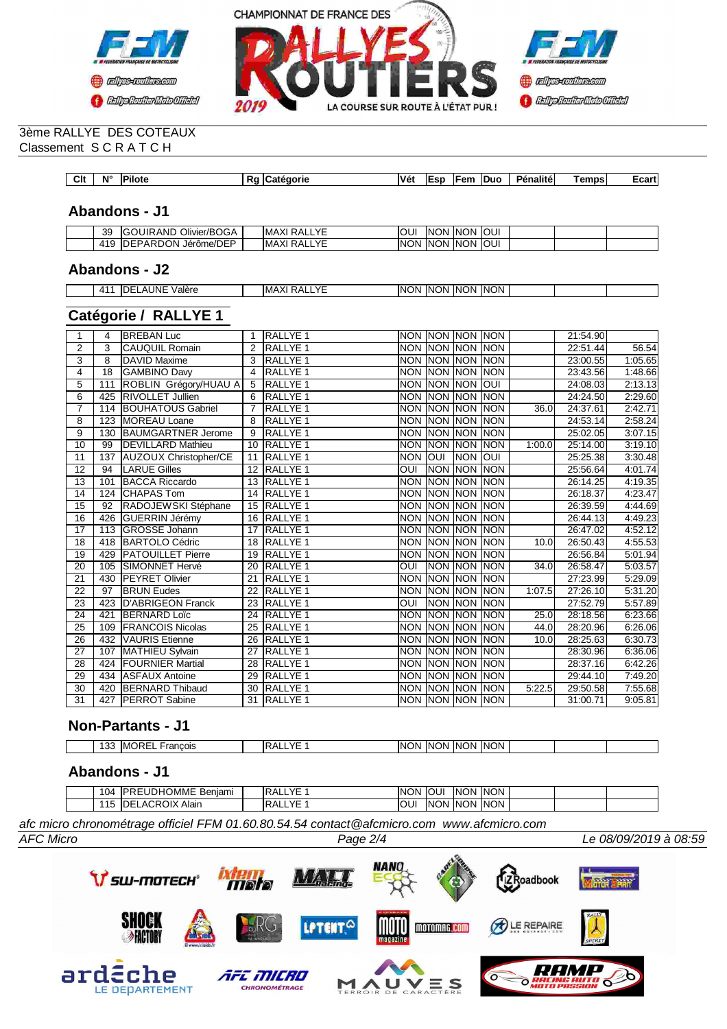



#### 3ème RALLYE DES COTEAUX Classement S C R A T C H

| Clt | $N^{\circ}$ | <b>Pilote</b> | ·aorie<br>. лт | <b>Véi</b> | - | ⊤em | IDuo | Pénalité | emps | $-$ nn+ $-$<br>י ווה. ו |
|-----|-------------|---------------|----------------|------------|---|-----|------|----------|------|-------------------------|

## **Abandons - J1**

| 39         | $\sim$<br>$\overline{\phantom{0}}$<br>Ö<br>Jimer/BOGA<br>⊇AN∟<br>I ( – 1<br>"<br>. . | $\sqrt{2}$<br>-<br>IMAXI<br>` RA∟<br>-- - - | . ור      | וחר<br>INI | ON.<br>IN0 | IOUI<br>к |  |  |
|------------|--------------------------------------------------------------------------------------|---------------------------------------------|-----------|------------|------------|-----------|--|--|
| <b>110</b> | $-$<br>NRDON.<br>ID<br>∟⊐ריי<br>Jérôme/DEI<br>◡<br>└                                 | $\sqrt{r}$<br>IMAXI<br>`RA∟<br>-- - -       | ΙN<br>.)N | 'N<br>INI  | `ON<br>IN( | IOUI      |  |  |

### **Abandons - J2**

| $\Lambda$ <sup>1</sup> | IDE<br>UNE<br>halàra) `<br>$\mathbf{r}$<br>valuu<br>. | $\sqrt{r}$<br>$\mathbf{v}$<br>IMAXI<br>RAL<br>. . | <b>INON</b> | <b>INON</b> | <b>NON</b> | <b>INON</b> |  |  |
|------------------------|-------------------------------------------------------|---------------------------------------------------|-------------|-------------|------------|-------------|--|--|

# **Catégorie / RALLYE 1**

|                 | 4               | <b>BREBAN Luc</b>            | -1             | RALLYE <sub>1</sub> |                | NON NON NON NON    |                |             |        | 21:54.90 |                    |
|-----------------|-----------------|------------------------------|----------------|---------------------|----------------|--------------------|----------------|-------------|--------|----------|--------------------|
| 2               | 3               | <b>CAUQUIL Romain</b>        | $\overline{2}$ | <b>RALLYE 1</b>     |                | NON INON INON INON |                |             |        | 22:51.44 | $\overline{56.54}$ |
| 3               | 8               | DAVID Maxime                 | 3              | <b>RALLYE 1</b>     |                | NON INON INON INON |                |             |        | 23:00.55 | 1:05.65            |
| 4               | $\overline{18}$ | <b>GAMBINO Davy</b>          | $\overline{4}$ | <b>RALLYE 1</b>     |                | NON NON NON        |                | <b>INON</b> |        | 23:43.56 | 1:48.66            |
| 5               | 111             | ROBLIN Grégory/HUAU A        | 5              | <b>RALLYE 1</b>     |                | NON INON INON      |                | Toui        |        | 24:08.03 | 2:13.13            |
| $\overline{6}$  | 425             | <b>RIVOLLET Jullien</b>      | 6              | <b>RALLYE 1</b>     |                | <b>NON NON</b>     | <b>NON</b>     | <b>NON</b>  |        | 24:24.50 | 2:29.60            |
| 7               | 114             | <b>BOUHATOUS Gabriel</b>     | $\overline{7}$ | <b>RALLYE 1</b>     | <b>NON</b>     | <b>NON</b>         | <b>NON</b>     | <b>INON</b> | 36.0   | 24:37.61 | 2:42.71            |
| 8               | 123             | <b>MOREAU Loane</b>          | 8              | RALLYE 1            |                | NON NON            | <b>NON</b>     | <b>INON</b> |        | 24:53.14 | 2:58.24            |
| 9               | 130             | <b>BAUMGARTNER Jerome</b>    | 9              | RALLYE <sub>1</sub> |                | NON NON            | <b>NON</b>     | <b>INON</b> |        | 25:02.05 | 3:07.15            |
| 10              | 99              | <b>DEVILLARD Mathieu</b>     | 10             | <b>RALLYE 1</b>     | <b>NON</b>     | <b>NON</b>         | <b>NON</b>     | <b>INON</b> | 1:00.0 | 25:14.00 | 3:19.10            |
| 11              | 137             | <b>AUZOUX Christopher/CE</b> | 11             | <b>RALLYE 1</b>     | <b>NON</b>     | loui               | <b>NON</b>     | loui        |        | 25:25.38 | 3:30.48            |
| $\overline{12}$ | 94              | <b>LARUE Gilles</b>          | 12             | <b>RALLYE 1</b>     | ОUІ            | <b>NON</b>         | <b>NON NON</b> |             |        | 25:56.64 | 4:01.74            |
| 13              | 101             | <b>BACCA Riccardo</b>        | 13             | <b>RALLYE 1</b>     | <b>NON</b>     | <b>INON</b>        | <b>NON</b>     | <b>NON</b>  |        | 26:14.25 | 4:19.35            |
| $\overline{14}$ | 124             | <b>CHAPAS Tom</b>            | 14             | <b>RALLYE 1</b>     |                | NON NON NON        |                | <b>NON</b>  |        | 26:18.37 | 4:23.47            |
| $\overline{15}$ | 92              | RADOJEWSKI Stéphane          | 15             | <b>RALLYE 1</b>     |                | NON INON INON INON |                |             |        | 26:39.59 | 4:44.69            |
| 16              | 426             | <b>GUERRIN Jérémy</b>        | 16             | <b>RALLYE 1</b>     | <b>NON</b>     | <b>NON</b>         | <b>NON</b>     | <b>NON</b>  |        | 26:44.13 | 4:49.23            |
| $\overline{17}$ | 113             | <b>GROSSE Johann</b>         | 17             | <b>RALLYE 1</b>     | <b>NON</b>     | <b>NON</b>         | <b>NON</b>     | <b>NON</b>  |        | 26:47.02 | 4:52.12            |
| 18              | 418             | <b>BARTOLO Cédric</b>        | 18             | <b>RALLYE 1</b>     |                | NON INON INON INON |                |             | 10.0   | 26:50.43 | 4:55.53            |
| 19              | 429             | <b>PATOUILLET Pierre</b>     | 19             | <b>RALLYE 1</b>     | NON INON       |                    | <b>NON</b>     | <b>NON</b>  |        | 26:56.84 | 5:01.94            |
| 20              | 105             | <b>SIMONNET Hervé</b>        | 20             | <b>RALLYE1</b>      | OUI            | <b>NON</b>         | <b>NON</b>     | <b>INON</b> | 34.0   | 26:58.47 | 5:03.57            |
| 21              |                 | 430 PEYRET Olivier           | 21             | <b>RALLYE 1</b>     |                | NON INON INON      |                | <b>NON</b>  |        | 27:23.99 | 5:29.09            |
| 22              | 97              | <b>BRUN Eudes</b>            | 22             | <b>RALLYE 1</b>     | NON INON       |                    | <b>NON</b>     | <b>NON</b>  | 1:07.5 | 27:26.10 | 5:31.20            |
| $\overline{23}$ | 423             | <b>D'ABRIGEON Franck</b>     | 23             | <b>RALLYE 1</b>     | $\overline{O}$ | <b>NON</b>         | <b>NON</b>     | <b>NON</b>  |        | 27:52.79 | 5:57.89            |
| 24              | 421             | <b>BERNARD Loïc</b>          | 24             | <b>RALLYE 1</b>     |                | NON NON NON        |                | <b>NON</b>  | 25.0   | 28:18.56 | 6:23.66            |
| $\overline{25}$ | 109             | <b>FRANCOIS Nicolas</b>      | 25             | <b>RALLYE 1</b>     |                | <b>NON NON</b>     | <b>NON</b>     | <b>NON</b>  | 44.0   | 28:20.96 | 6:26.06            |
| 26              | 432             | <b>VAURIS</b> Etienne        | 26             | <b>RALLYE 1</b>     | <b>NON</b>     | NON NON            |                | <b>INON</b> | 10.0   | 28:25.63 | 6:30.73            |
| 27              | 107             | <b>MATHIEU Sylvain</b>       | 27             | <b>RALLYE 1</b>     | <b>NON</b>     | <b>NON</b>         | <b>NON</b>     | <b>NON</b>  |        | 28:30.96 | 6:36.06            |
| 28              | 424             | <b>FOURNIER Martial</b>      | 28             | <b>RALLYE 1</b>     | <b>NON NON</b> |                    | <b>NON</b>     | <b>NON</b>  |        | 28:37.16 | 6:42.26            |
| 29              | 434             | <b>ASFAUX Antoine</b>        | 29             | <b>RALLYE 1</b>     | <b>NON NON</b> |                    | <b>NON</b>     | <b>NON</b>  |        | 29:44.10 | 7:49.20            |
| 30              | 420             | <b>BERNARD Thibaud</b>       | 30             | <b>RALLYE 1</b>     | <b>NON</b>     | <b>INON</b>        | <b>NON</b>     | <b>INON</b> | 5:22.5 | 29:50.58 | 7:55.68            |
| 31              | 427             | <b>IPERROT Sabine</b>        | 31             | <b>RALLYE 1</b>     |                | NON NON NON        |                | <b>INON</b> |        | 31:00.71 | 9:05.81            |

## **Non-Partants - J1**

| $\overline{ }$<br>IMO<br>rancois<br>ີ<br>. .<br>$\sim$ | $\sqrt{r}$<br>. .<br>-<br>٦L | <b>INON</b><br>INON.<br>INC<br>וחר<br>ΙN<br>١N١ |  |
|--------------------------------------------------------|------------------------------|-------------------------------------------------|--|

# **Abandons - J1**

| $\sqrt{r}$<br><b>INON</b><br>$\sim$<br>$\sim$<br>Alain<br>INO<br>$\overline{a}$<br>וחר<br>ገሌ<br>INK<br>◡<br>JU<br>IDE<br>ζAΙ<br>ᅫ<br>-<br>∪ו<br>$\ddot{\phantom{0}}$<br>$\overline{\phantom{0}}$<br>.<br>. |  |
|------------------------------------------------------------------------------------------------------------------------------------------------------------------------------------------------------------|--|

*afc micro chronométrage officiel FFM 01.60.80.54.54 contact@afcmicro.com www.afcmicro.com*

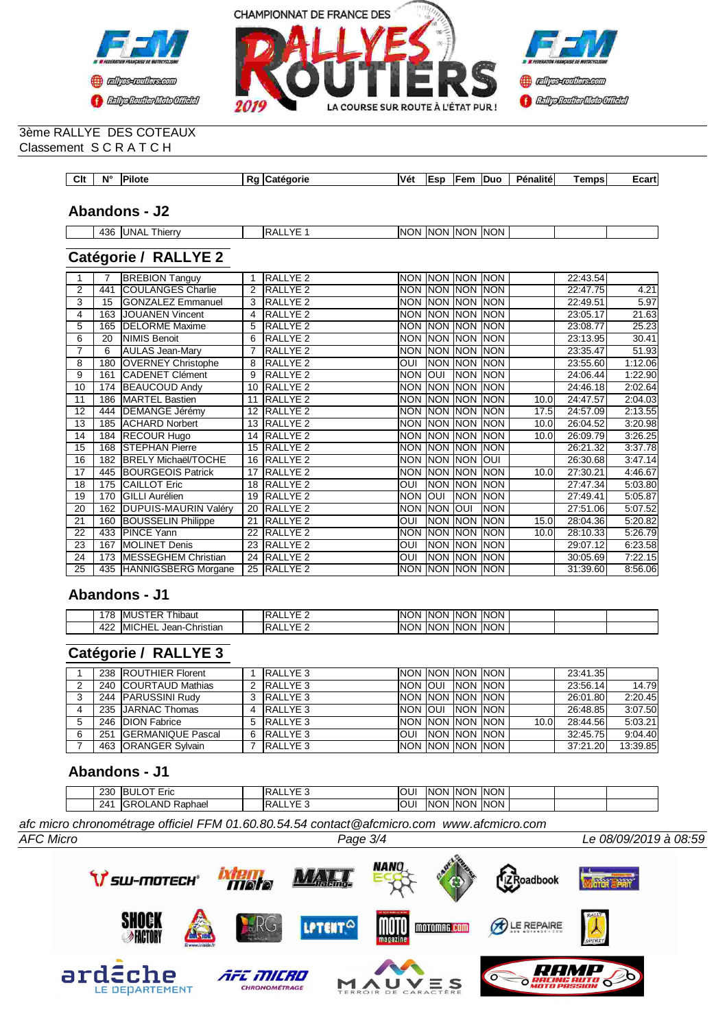



#### 3ème RALLYE DES COTEAUX Classement S C R A T C H

| Clt<br>$-$ | AI <sup>c</sup> | <b>Pilote</b> | nu. | :aorie<br>∴ate | Vét | $-0.07$ | ™em | <b>IDuc</b> | <b>Pénalité</b> | ⊺emps<br>___ | $-0.25$<br>–∪di l |
|------------|-----------------|---------------|-----|----------------|-----|---------|-----|-------------|-----------------|--------------|-------------------|

## **Abandons - J2**

| 12L<br>ー | , hierr<br>INI A<br>гv.<br>–<br>. .<br>__ | $\sqrt{r}$<br>^ ^ | .ING<br>וחו | <b>INK</b><br>١NΙ | . INIC<br>)N | INC<br>IN. |  |  |
|----------|-------------------------------------------|-------------------|-------------|-------------------|--------------|------------|--|--|

# **Catégorie / RALLYE 2**

|                 | 7   | <b>BREBION Tanguy</b>       |    | <b>RALLYE 2</b>     | NON NON NON NON    |                    |            |            |                   | 22:43.54 |         |
|-----------------|-----|-----------------------------|----|---------------------|--------------------|--------------------|------------|------------|-------------------|----------|---------|
| 2               | 441 | <b>COULANGES Charlie</b>    | 2  | <b>RALLYE 2</b>     | NON INON INON INON |                    |            |            |                   | 22:47.75 | 4.21    |
| 3               | 15  | <b>GONZALEZ Emmanuel</b>    | 3  | <b>RALLYE 2</b>     |                    | NON NON NON NON    |            |            |                   | 22:49.51 | 5.97    |
| 4               | 163 | <b>JOUANEN Vincent</b>      |    | RALLYE <sub>2</sub> |                    | NON NON NON NON    |            |            |                   | 23:05.17 | 21.63   |
| 5               | 165 | <b>DELORME Maxime</b>       | 5  | RALLYE <sub>2</sub> |                    | NON NON NON NON    |            |            |                   | 23:08.77 | 25.23   |
| 6               | 20  | <b>NIMIS Benoit</b>         | 6  | RALLYE <sub>2</sub> |                    | NON INON INON INON |            |            |                   | 23:13.95 | 30.41   |
| 7               | 6   | <b>AULAS Jean-Mary</b>      |    | RALLYE <sub>2</sub> |                    | NON NON NON NON    |            |            |                   | 23:35.47 | 51.93   |
| 8               | 180 | <b>OVERNEY Christophe</b>   |    | RALLYE <sub>2</sub> | <b>OUI</b>         | <b>NON NON NON</b> |            |            |                   | 23:55.60 | 1:12.06 |
| 9               | 161 | CADENET Clément             | 9  | <b>RALLYE 2</b>     | <b>NON</b>         | <b>IOUI</b>        | NON NON    |            |                   | 24:06.44 | 1:22.90 |
| 10              | 174 | <b>BEAUCOUD Andy</b>        | 10 | <b>RALLYE 2</b>     |                    | NON NON NON NON    |            |            |                   | 24:46.18 | 2:02.64 |
| 11              |     | 186 MARTEL Bastien          | 11 | <b>RALLYE 2</b>     |                    | NON NON NON NON    |            |            | 10.0 <sub>l</sub> | 24:47.57 | 2:04.03 |
| $\overline{12}$ | 444 | <b>DEMANGE Jérémy</b>       | 12 | <b>RALLYE 2</b>     |                    | NON NON NON NON    |            |            | 17.5              | 24:57.09 | 2:13.55 |
| 13              |     | 185 ACHARD Norbert          | 13 | <b>RALLYE 2</b>     |                    | NON NON NON NON    |            |            | 10.0              | 26:04.52 | 3:20.98 |
| 14              |     | 184 RECOUR Hugo             | 14 | <b>RALLYE 2</b>     |                    | NON NON NON        |            | <b>NON</b> | 10.0              | 26:09.79 | 3:26.25 |
| 15              |     | 168 STEPHAN Pierre          | 15 | <b>RALLYE 2</b>     |                    | NON NON NON NON    |            |            |                   | 26:21.32 | 3:37.78 |
| 16              | 182 | <b>BRELY Michaël/TOCHE</b>  | 16 | <b>RALLYE 2</b>     |                    | NON NON NON        |            | loui       |                   | 26:30.68 | 3:47.14 |
| 17              |     | 445 BOURGEOIS Patrick       | 17 | <b>RALLYE 2</b>     | <b>NON</b>         | <b>NON NON</b>     |            | <b>NON</b> | 10.0              | 27:30.21 | 4:46.67 |
| 18              | 175 | <b>CAILLOT Eric</b>         | 18 | RALLYE <sub>2</sub> | OUI                | NON NON            |            | <b>NON</b> |                   | 27:47.34 | 5:03.80 |
| 19              | 170 | <b>GILLI Aurélien</b>       | 19 | <b>RALLYE 2</b>     | <b>NON</b>         | loui               | <b>NON</b> | <b>NON</b> |                   | 27:49.41 | 5:05.87 |
| 20              | 162 | <b>DUPUIS-MAURIN Valéry</b> | 20 | <b>RALLYE 2</b>     | <b>NON</b>         | <b>NON</b>         | <b>OUI</b> | <b>NON</b> |                   | 27:51.06 | 5:07.52 |
| 21              | 160 | <b>BOUSSELIN Philippe</b>   | 21 | <b>RALLYE 2</b>     | <b>OUI</b>         | NON NON            |            | <b>NON</b> | 15.0              | 28:04.36 | 5:20.82 |
| 22              | 433 | <b>PINCE Yann</b>           | 22 | <b>RALLYE 2</b>     | <b>NON</b>         | NON NON            |            | <b>NON</b> | 10.0 <sub>l</sub> | 28:10.33 | 5:26.79 |
| 23              | 167 | <b>MOLINET Denis</b>        | 23 | RALLYE <sub>2</sub> | <b>OUI</b>         | NON NON            |            | <b>NON</b> |                   | 29:07.12 | 6:23.58 |
| 24              | 173 | <b>MESSEGHEM Christian</b>  | 24 | <b>RALLYE 2</b>     | <b>OUI</b>         | Inon Inon          |            | <b>NON</b> |                   | 30:05.69 | 7:22.15 |
| 25              |     | 435 HANNIGSBERG Morgane     |    | 25 RALLYE 2         |                    | NON NON NON NON    |            |            |                   | 31:39.60 | 8:56.06 |

## **Abandons - J1**

| '78       | .<br>hibaut<br>TIVIL                                           | $\sqrt{2}$<br>OA.<br>⊸<br>_ _ _   | <b>INON</b><br>IN0<br>IN(<br>.)N<br>ΙN<br>IN0<br>.)N               |  |
|-----------|----------------------------------------------------------------|-----------------------------------|--------------------------------------------------------------------|--|
| 420<br>-- | <b>MIC</b><br>HE)<br>$\sim$<br><b>Christian</b><br>Jean-'<br>. | $V\square$<br>DA.<br>$\mathbf{a}$ | J INC⊺<br><b>INON</b><br>IN <sub>0</sub><br>INO<br>)N<br>'NN<br>)N |  |

# **Catégorie / RALLYE 3**

|   | 238 ROUTHIER Florent  | <b>RALLYE 3</b> |                     |           | <b>INON INON INON INON I</b> |       | 23:41.35 |          |
|---|-----------------------|-----------------|---------------------|-----------|------------------------------|-------|----------|----------|
| ົ | 240 COURTAUD Mathias  | RALLYE 3        | <b>NON JOUL</b>     | INON INON |                              |       | 23:56.14 | 14.79    |
| ◠ | 244 PARUSSINI Rudy    | 3 RALLYE 3      | INON INON INON INON |           |                              |       | 26:01.80 | 2:20.45  |
| 4 | 235 JARNAC Thomas     | 4 RALLYE 3      | INON JOUL INON INON |           |                              |       | 26:48.85 | 3:07.50  |
| 5 | 246 DION Fabrice      | 5 RALLYE 3      | INON INON INON INON |           |                              | 10.0I | 28:44.56 | 5:03.21  |
| 6 | 251 GERMANIQUE Pascal | 6 RALLYE 3      |                     |           | <b>OUI INON NON NON</b>      |       | 32:45.75 | 9:04.40  |
|   | 463 ORANGER Sylvain   | RALLYE 3        | NON NON NON NON     |           |                              |       | 37:21.20 | 13:39.85 |

## **Abandons - J1**

| 230 | $\overline{\phantom{0}}$<br>~-<br>IBUI<br>Erio<br>ᆸ        | $\sqrt{2}$<br>◡△                     |    | וחר<br>INO  | וחר<br>INI | <b>ION</b><br>- INK |  |  |
|-----|------------------------------------------------------------|--------------------------------------|----|-------------|------------|---------------------|--|--|
| 241 | AND.<br>-<br>IGR <sub>0</sub><br>-<br>Raphael<br>.JLP<br>ຼ | $\sqrt{2}$<br>⊃∧<br>$\cdot$ .<br>. . | ັບ | י אר<br>INO | 'NC<br>INK | 'ON<br>INK          |  |  |

*afc micro chronométrage officiel FFM 01.60.80.54.54 contact@afcmicro.com www.afcmicro.com*

*AFC Micro Page 3/4 Le 08/09/2019 à 08:59*